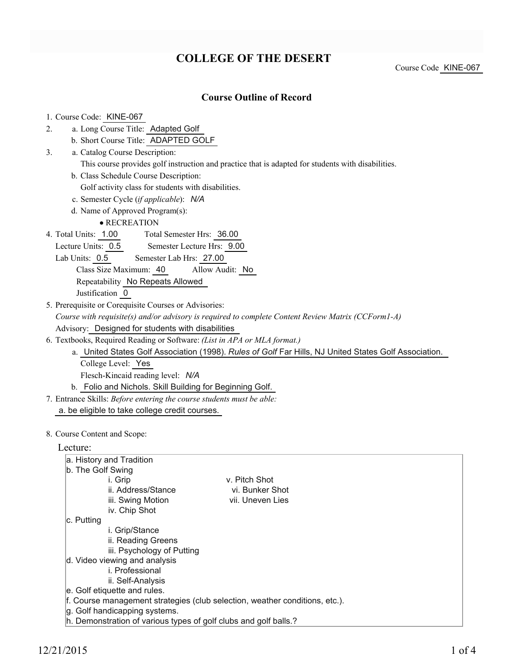# **COLLEGE OF THE DESERT**

Course Code KINE-067

### **Course Outline of Record**

| 1. Course Code: KINE-067                                                                              |
|-------------------------------------------------------------------------------------------------------|
| a. Long Course Title: Adapted Golf<br>2.                                                              |
| b. Short Course Title: ADAPTED GOLF                                                                   |
| a. Catalog Course Description:<br>3 <sub>1</sub>                                                      |
| This course provides golf instruction and practice that is adapted for students with disabilities.    |
| b. Class Schedule Course Description:                                                                 |
| Golf activity class for students with disabilities.                                                   |
| c. Semester Cycle (if applicable): N/A                                                                |
| d. Name of Approved Program(s):                                                                       |
| • RECREATION                                                                                          |
| 4. Total Units: 1.00 Total Semester Hrs: 36.00                                                        |
| Lecture Units: 0.5 Semester Lecture Hrs: 0.00                                                         |
| Lab Units: 0.5 Semester Lab Hrs: 27.00                                                                |
| Class Size Maximum: 40<br>Allow Audit: No                                                             |
| Repeatability No Repeats Allowed                                                                      |
| Justification 0                                                                                       |
| 5. Prerequisite or Corequisite Courses or Advisories:                                                 |
| Course with requisite(s) and/or advisory is required to complete Content Review Matrix (CCForm1-A)    |
| Advisory: Designed for students with disabilities                                                     |
| 6. Textbooks, Required Reading or Software: (List in APA or MLA format.)                              |
| a. United States Golf Association (1998). Rules of Golf Far Hills, NJ United States Golf Association. |
| College Level: Yes                                                                                    |
| Flesch-Kincaid reading level: N/A                                                                     |
| b. Folio and Nichols. Skill Building for Beginning Golf.                                              |
| 7. Entrance Skills: Before entering the course students must be able:                                 |
| a. be eligible to take college credit courses.                                                        |

#### 8. Course Content and Scope:

| Lecture: |
|----------|
|----------|

| ruuru.                                                                      |                  |  |  |  |  |
|-----------------------------------------------------------------------------|------------------|--|--|--|--|
| a. History and Tradition                                                    |                  |  |  |  |  |
| b. The Golf Swing                                                           |                  |  |  |  |  |
| i. Grip                                                                     | v. Pitch Shot    |  |  |  |  |
| ii. Address/Stance                                                          | vi. Bunker Shot  |  |  |  |  |
| iii. Swing Motion                                                           | vii. Uneven Lies |  |  |  |  |
| iv. Chip Shot                                                               |                  |  |  |  |  |
| ∣c. Putting                                                                 |                  |  |  |  |  |
| i. Grip/Stance                                                              |                  |  |  |  |  |
| ii. Reading Greens                                                          |                  |  |  |  |  |
| iii. Psychology of Putting                                                  |                  |  |  |  |  |
| d. Video viewing and analysis                                               |                  |  |  |  |  |
| i. Professional                                                             |                  |  |  |  |  |
| ii. Self-Analysis                                                           |                  |  |  |  |  |
| e. Golf etiquette and rules.                                                |                  |  |  |  |  |
| f. Course management strategies (club selection, weather conditions, etc.). |                  |  |  |  |  |
| g. Golf handicapping systems.                                               |                  |  |  |  |  |
| h. Demonstration of various types of golf clubs and golf balls.?            |                  |  |  |  |  |
|                                                                             |                  |  |  |  |  |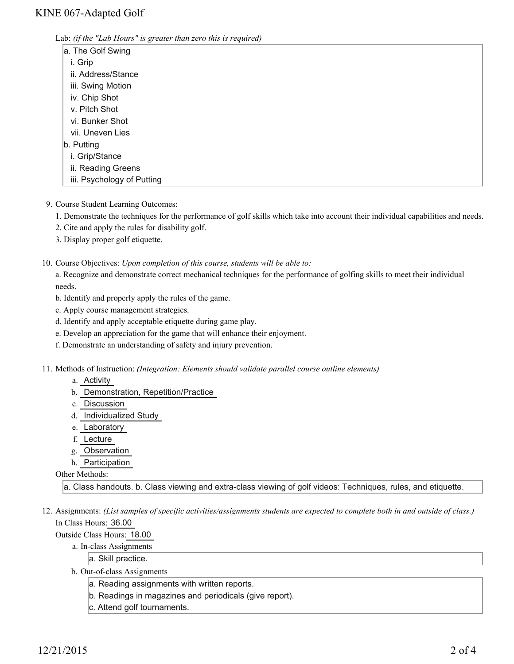Lab: *(if the "Lab Hours" is greater than zero this is required)*

| a. The Golf Swing          |  |  |
|----------------------------|--|--|
| i. Grip                    |  |  |
| ii. Address/Stance         |  |  |
| iii. Swing Motion          |  |  |
| iv. Chip Shot              |  |  |
| v. Pitch Shot              |  |  |
| vi. Bunker Shot            |  |  |
| vii. Uneven Lies           |  |  |
| b. Putting                 |  |  |
| i. Grip/Stance             |  |  |
| ii. Reading Greens         |  |  |
| iii. Psychology of Putting |  |  |
|                            |  |  |

- 9. Course Student Learning Outcomes:
	- 1. Demonstrate the techniques for the performance of golf skills which take into account their individual capabilities and needs.
	- 2. Cite and apply the rules for disability golf.
	- 3. Display proper golf etiquette.

10. Course Objectives: Upon completion of this course, students will be able to:

a. Recognize and demonstrate correct mechanical techniques for the performance of golfing skills to meet their individual needs.

- b. Identify and properly apply the rules of the game.
- c. Apply course management strategies.
- d. Identify and apply acceptable etiquette during game play.
- e. Develop an appreciation for the game that will enhance their enjoyment.
- f. Demonstrate an understanding of safety and injury prevention.

Methods of Instruction: *(Integration: Elements should validate parallel course outline elements)* 11.

- a. Activity
- b. Demonstration, Repetition/Practice
- c. Discussion
- d. Individualized Study
- e. Laboratory
- f. Lecture
- g. Observation
- h. Participation

Other Methods:

a. Class handouts. b. Class viewing and extra-class viewing of golf videos: Techniques, rules, and etiquette.

12. Assignments: (List samples of specific activities/assignments students are expected to complete both in and outside of class.) In Class Hours: 36.00

Outside Class Hours: 18.00

- a. In-class Assignments
	- a. Skill practice.
- b. Out-of-class Assignments
	- a. Reading assignments with written reports.
	- b. Readings in magazines and periodicals (give report).
	- c. Attend golf tournaments.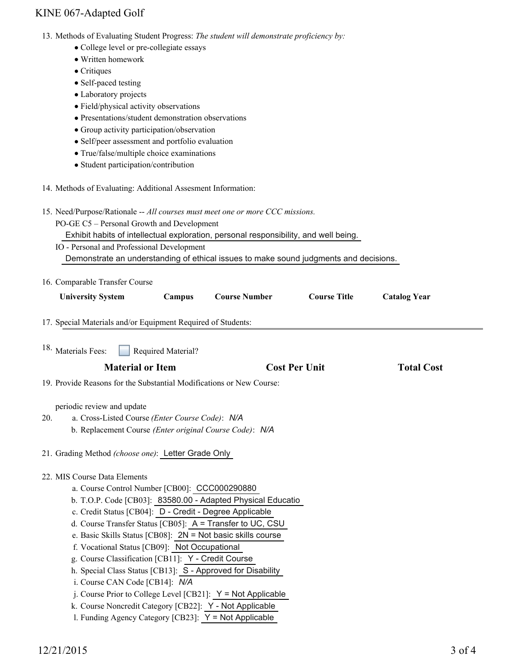### KINE 067-Adapted Golf

- 13. Methods of Evaluating Student Progress: The student will demonstrate proficiency by:
	- College level or pre-collegiate essays
	- Written homework
	- Critiques
	- Self-paced testing
	- Laboratory projects
	- Field/physical activity observations
	- Presentations/student demonstration observations
	- Group activity participation/observation
	- Self/peer assessment and portfolio evaluation
	- True/false/multiple choice examinations
	- Student participation/contribution
- 14. Methods of Evaluating: Additional Assesment Information:

|     | 14. Methods of Evaluating: Additional Assesment Information:                                                                                                                                                                                                                                                                                                                                                                                                                                                                                                                                                                                                                                                                       |                      |                      |                     |
|-----|------------------------------------------------------------------------------------------------------------------------------------------------------------------------------------------------------------------------------------------------------------------------------------------------------------------------------------------------------------------------------------------------------------------------------------------------------------------------------------------------------------------------------------------------------------------------------------------------------------------------------------------------------------------------------------------------------------------------------------|----------------------|----------------------|---------------------|
|     | 15. Need/Purpose/Rationale -- All courses must meet one or more CCC missions.<br>PO-GE C5 - Personal Growth and Development<br>Exhibit habits of intellectual exploration, personal responsibility, and well being.<br>IO - Personal and Professional Development<br>Demonstrate an understanding of ethical issues to make sound judgments and decisions.                                                                                                                                                                                                                                                                                                                                                                         |                      |                      |                     |
|     | 16. Comparable Transfer Course                                                                                                                                                                                                                                                                                                                                                                                                                                                                                                                                                                                                                                                                                                     |                      |                      |                     |
|     | <b>University System</b><br>Campus                                                                                                                                                                                                                                                                                                                                                                                                                                                                                                                                                                                                                                                                                                 | <b>Course Number</b> | <b>Course Title</b>  | <b>Catalog Year</b> |
|     | 17. Special Materials and/or Equipment Required of Students:                                                                                                                                                                                                                                                                                                                                                                                                                                                                                                                                                                                                                                                                       |                      |                      |                     |
|     | <sup>18.</sup> Materials Fees:<br>Required Material?                                                                                                                                                                                                                                                                                                                                                                                                                                                                                                                                                                                                                                                                               |                      |                      |                     |
|     | <b>Material or Item</b>                                                                                                                                                                                                                                                                                                                                                                                                                                                                                                                                                                                                                                                                                                            |                      | <b>Cost Per Unit</b> | <b>Total Cost</b>   |
|     | 19. Provide Reasons for the Substantial Modifications or New Course:                                                                                                                                                                                                                                                                                                                                                                                                                                                                                                                                                                                                                                                               |                      |                      |                     |
| 20. | periodic review and update<br>a. Cross-Listed Course (Enter Course Code): N/A<br>b. Replacement Course (Enter original Course Code): N/A<br>21. Grading Method (choose one): Letter Grade Only                                                                                                                                                                                                                                                                                                                                                                                                                                                                                                                                     |                      |                      |                     |
|     | 22. MIS Course Data Elements<br>a. Course Control Number [CB00]: CCC000290880<br>b. T.O.P. Code [CB03]: 83580.00 - Adapted Physical Educatio<br>c. Credit Status [CB04]: D - Credit - Degree Applicable<br>d. Course Transfer Status [CB05]: A = Transfer to UC, CSU<br>e. Basic Skills Status [CB08]: 2N = Not basic skills course<br>f. Vocational Status [CB09]: Not Occupational<br>g. Course Classification [CB11]: Y - Credit Course<br>h. Special Class Status [CB13]: S - Approved for Disability<br>i. Course CAN Code [CB14]: N/A<br>j. Course Prior to College Level [CB21]: $Y = Not$ Applicable<br>k. Course Noncredit Category [CB22]: Y - Not Applicable<br>1. Funding Agency Category [CB23]: $Y = Not$ Applicable |                      |                      |                     |